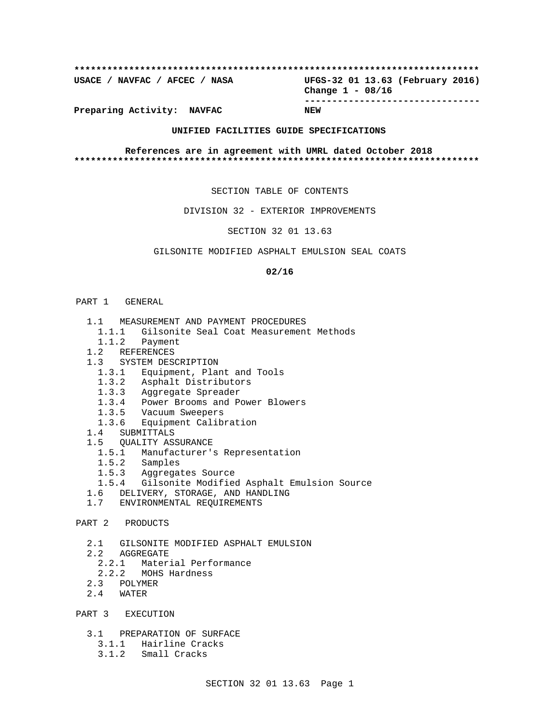**\*\*\*\*\*\*\*\*\*\*\*\*\*\*\*\*\*\*\*\*\*\*\*\*\*\*\*\*\*\*\*\*\*\*\*\*\*\*\*\*\*\*\*\*\*\*\*\*\*\*\*\*\*\*\*\*\*\*\*\*\*\*\*\*\*\*\*\*\*\*\*\*\*\* USACE / NAVFAC / AFCEC / NASA UFGS-32 01 13.63 (February 2016) Change 1 - 08/16 --------------------------------**

**Preparing Activity: NAVFAC NEW**

## **UNIFIED FACILITIES GUIDE SPECIFICATIONS**

**References are in agreement with UMRL dated October 2018 \*\*\*\*\*\*\*\*\*\*\*\*\*\*\*\*\*\*\*\*\*\*\*\*\*\*\*\*\*\*\*\*\*\*\*\*\*\*\*\*\*\*\*\*\*\*\*\*\*\*\*\*\*\*\*\*\*\*\*\*\*\*\*\*\*\*\*\*\*\*\*\*\*\***

SECTION TABLE OF CONTENTS

DIVISION 32 - EXTERIOR IMPROVEMENTS

SECTION 32 01 13.63

GILSONITE MODIFIED ASPHALT EMULSION SEAL COATS

## **02/16**

### PART 1 GENERAL

- 1.1 MEASUREMENT AND PAYMENT PROCEDURES
	- 1.1.1 Gilsonite Seal Coat Measurement Methods
	- 1.1.2 Payment
- 1.2 REFERENCES
- 1.3 SYSTEM DESCRIPTION
	- 1.3.1 Equipment, Plant and Tools
	- 1.3.2 Asphalt Distributors
	- 1.3.3 Aggregate Spreader
	- 1.3.4 Power Brooms and Power Blowers
	- 1.3.5 Vacuum Sweepers
	- 1.3.6 Equipment Calibration
- 1.4 SUBMITTALS
- 1.5 QUALITY ASSURANCE
	- 1.5.1 Manufacturer's Representation
	- 1.5.2 Samples
	- 1.5.3 Aggregates Source
- 1.5.4 Gilsonite Modified Asphalt Emulsion Source
- 1.6 DELIVERY, STORAGE, AND HANDLING
- 1.7 ENVIRONMENTAL REQUIREMENTS
- PART 2 PRODUCTS
	- 2.1 GILSONITE MODIFIED ASPHALT EMULSION
	- 2.2 AGGREGATE
	- 2.2.1 Material Performance
	- 2.2.2 MOHS Hardness
	- 2.3 POLYMER
	- 2.4 WATER

PART 3 EXECUTION

- 3.1 PREPARATION OF SURFACE
	- 3.1.1 Hairline Cracks
	- 3.1.2 Small Cracks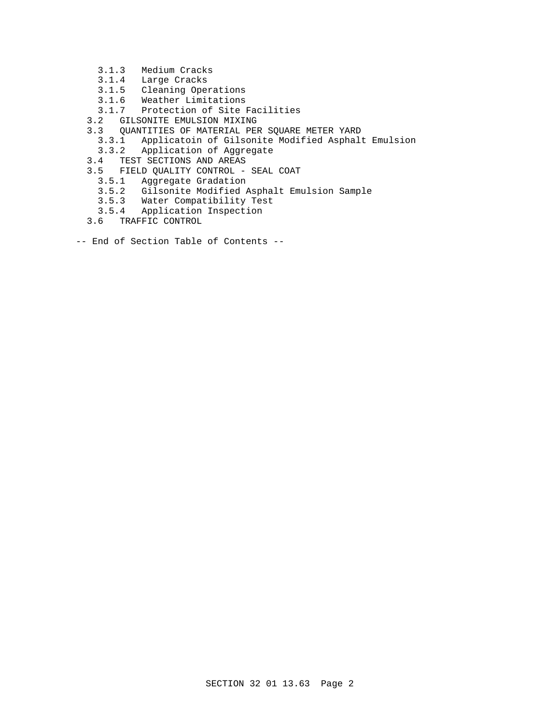- 3.1.3 Medium Cracks
- 3.1.4 Large Cracks
- 3.1.5 Cleaning Operations
- 3.1.6 Weather Limitations
- 3.1.7 Protection of Site Facilities
- 3.2 GILSONITE EMULSION MIXING
- 3.3 QUANTITIES OF MATERIAL PER SQUARE METER YARD
	- 3.3.1 Applicatoin of Gilsonite Modified Asphalt Emulsion
- Application of Aggregate
- 3.4 TEST SECTIONS AND AREAS
- 3.5 FIELD QUALITY CONTROL SEAL COAT
	- 3.5.1 Aggregate Gradation
	- 3.5.2 Gilsonite Modified Asphalt Emulsion Sample
	- 3.5.3 Water Compatibility Test
	- 3.5.4 Application Inspection
- 3.6 TRAFFIC CONTROL
- -- End of Section Table of Contents --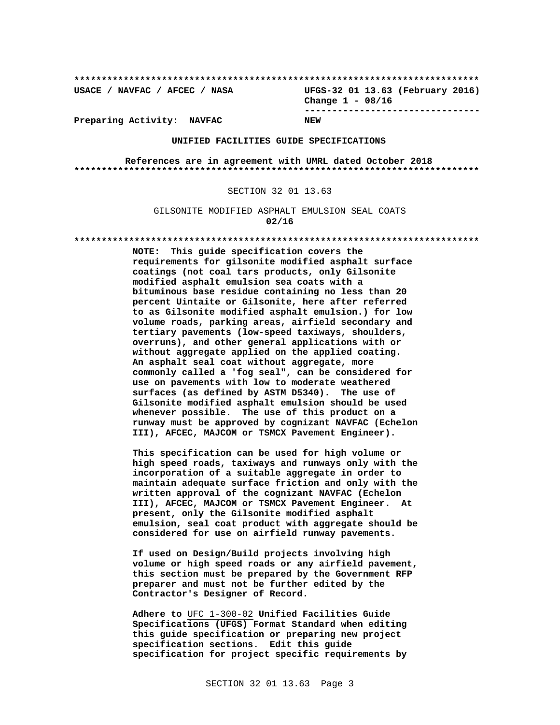UFGS-32 01 13.63 (February 2016) USACE / NAVFAC / AFCEC / NASA Change  $1 - 08/16$ ----------------------------------**NEW** 

Preparing Activity: NAVFAC

## UNIFIED FACILITIES GUIDE SPECIFICATIONS

References are in agreement with UMRL dated October 2018 

## SECTION 32 01 13.63

GILSONITE MODIFIED ASPHALT EMULSION SEAL COATS  $02/16$ 

NOTE: This guide specification covers the requirements for gilsonite modified asphalt surface coatings (not coal tars products, only Gilsonite modified asphalt emulsion sea coats with a bituminous base residue containing no less than 20 percent Uintaite or Gilsonite, here after referred to as Gilsonite modified asphalt emulsion.) for low volume roads, parking areas, airfield secondary and tertiary pavements (low-speed taxiways, shoulders, overruns), and other general applications with or without aggregate applied on the applied coating. An asphalt seal coat without aggregate, more commonly called a 'fog seal", can be considered for use on pavements with low to moderate weathered surfaces (as defined by ASTM D5340). The use of Gilsonite modified asphalt emulsion should be used whenever possible. The use of this product on a runway must be approved by cognizant NAVFAC (Echelon III), AFCEC, MAJCOM or TSMCX Pavement Engineer).

This specification can be used for high volume or high speed roads, taxiways and runways only with the incorporation of a suitable aggregate in order to maintain adequate surface friction and only with the written approval of the cognizant NAVFAC (Echelon III), AFCEC, MAJCOM or TSMCX Pavement Engineer. At present, only the Gilsonite modified asphalt emulsion, seal coat product with aggregate should be considered for use on airfield runway pavements.

If used on Design/Build projects involving high volume or high speed roads or any airfield pavement, this section must be prepared by the Government RFP preparer and must not be further edited by the Contractor's Designer of Record.

Adhere to UFC 1-300-02 Unified Facilities Guide Specifications (UFGS) Format Standard when editing this guide specification or preparing new project specification sections. Edit this guide specification for project specific requirements by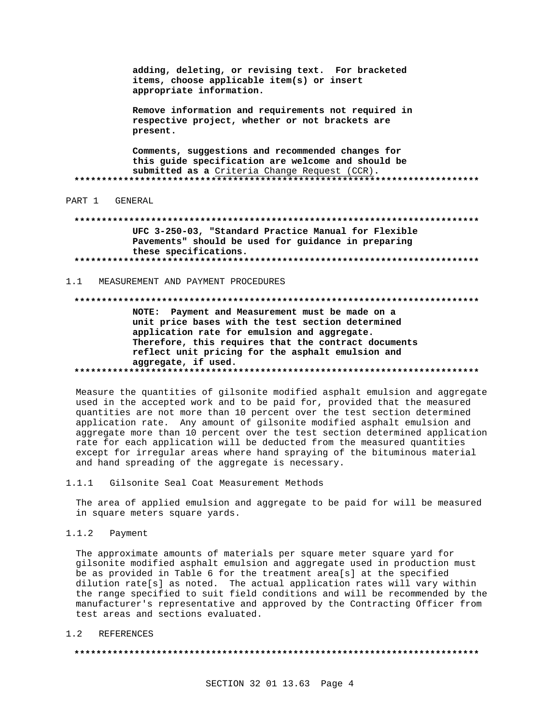adding, deleting, or revising text. For bracketed items, choose applicable item(s) or insert appropriate information.

Remove information and requirements not required in respective project, whether or not brackets are present.

Comments, suggestions and recommended changes for this guide specification are welcome and should be submitted as a Criteria Change Request (CCR). 

PART 1 GENERAL

UFC 3-250-03, "Standard Practice Manual for Flexible Pavements" should be used for guidance in preparing these specifications. 

#### MEASUREMENT AND PAYMENT PROCEDURES  $1 \quad 1$

### 

NOTE: Payment and Measurement must be made on a unit price bases with the test section determined application rate for emulsion and aggregate. Therefore, this requires that the contract documents reflect unit pricing for the asphalt emulsion and aggregate, if used. 

Measure the quantities of gilsonite modified asphalt emulsion and aggregate used in the accepted work and to be paid for, provided that the measured quantities are not more than 10 percent over the test section determined application rate. Any amount of gilsonite modified asphalt emulsion and aggregate more than 10 percent over the test section determined application rate for each application will be deducted from the measured quantities except for irregular areas where hand spraying of the bituminous material and hand spreading of the aggregate is necessary.

 $1.1.1$ Gilsonite Seal Coat Measurement Methods

The area of applied emulsion and aggregate to be paid for will be measured in square meters square yards.

 $1.1.2$ Payment

> The approximate amounts of materials per square meter square yard for gilsonite modified asphalt emulsion and aggregate used in production must be as provided in Table 6 for the treatment area[s] at the specified dilution rate[s] as noted. The actual application rates will vary within the range specified to suit field conditions and will be recommended by the manufacturer's representative and approved by the Contracting Officer from test areas and sections evaluated.

1.2 REFERENCES

###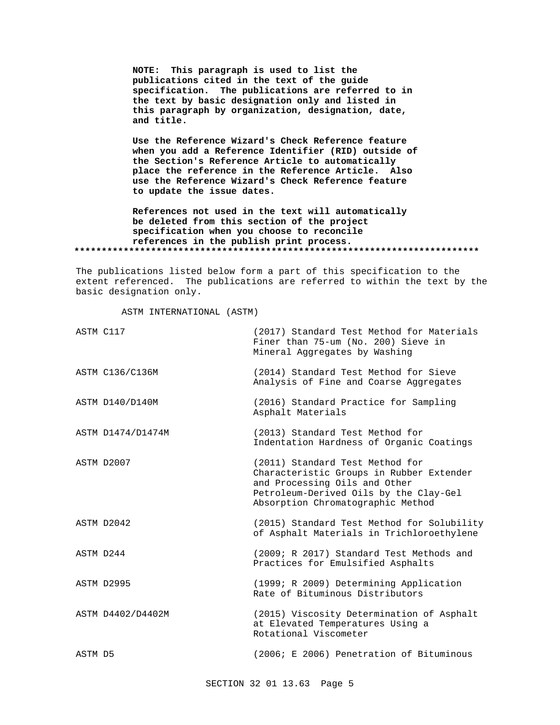**NOTE: This paragraph is used to list the publications cited in the text of the guide specification. The publications are referred to in the text by basic designation only and listed in this paragraph by organization, designation, date, and title.**

**Use the Reference Wizard's Check Reference feature when you add a Reference Identifier (RID) outside of the Section's Reference Article to automatically place the reference in the Reference Article. Also use the Reference Wizard's Check Reference feature to update the issue dates.**

**References not used in the text will automatically be deleted from this section of the project specification when you choose to reconcile references in the publish print process. \*\*\*\*\*\*\*\*\*\*\*\*\*\*\*\*\*\*\*\*\*\*\*\*\*\*\*\*\*\*\*\*\*\*\*\*\*\*\*\*\*\*\*\*\*\*\*\*\*\*\*\*\*\*\*\*\*\*\*\*\*\*\*\*\*\*\*\*\*\*\*\*\*\***

The publications listed below form a part of this specification to the extent referenced. The publications are referred to within the text by the basic designation only.

ASTM INTERNATIONAL (ASTM)

| ASTM C117 |                   | (2017) Standard Test Method for Materials<br>Finer than 75-um (No. 200) Sieve in<br>Mineral Aggregates by Washing                                                                           |
|-----------|-------------------|---------------------------------------------------------------------------------------------------------------------------------------------------------------------------------------------|
|           | ASTM C136/C136M   | (2014) Standard Test Method for Sieve<br>Analysis of Fine and Coarse Aggregates                                                                                                             |
|           | ASTM D140/D140M   | (2016) Standard Practice for Sampling<br>Asphalt Materials                                                                                                                                  |
|           | ASTM D1474/D1474M | (2013) Standard Test Method for<br>Indentation Hardness of Organic Coatings                                                                                                                 |
|           | ASTM D2007        | (2011) Standard Test Method for<br>Characteristic Groups in Rubber Extender<br>and Processing Oils and Other<br>Petroleum-Derived Oils by the Clay-Gel<br>Absorption Chromatographic Method |
|           | ASTM D2042        | (2015) Standard Test Method for Solubility<br>of Asphalt Materials in Trichloroethylene                                                                                                     |
| ASTM D244 |                   | (2009; R 2017) Standard Test Methods and<br>Practices for Emulsified Asphalts                                                                                                               |
|           | ASTM D2995        | (1999; R 2009) Determining Application<br>Rate of Bituminous Distributors                                                                                                                   |
|           | ASTM D4402/D4402M | (2015) Viscosity Determination of Asphalt<br>at Elevated Temperatures Using a<br>Rotational Viscometer                                                                                      |
| ASTM D5   |                   | (2006; E 2006) Penetration of Bituminous                                                                                                                                                    |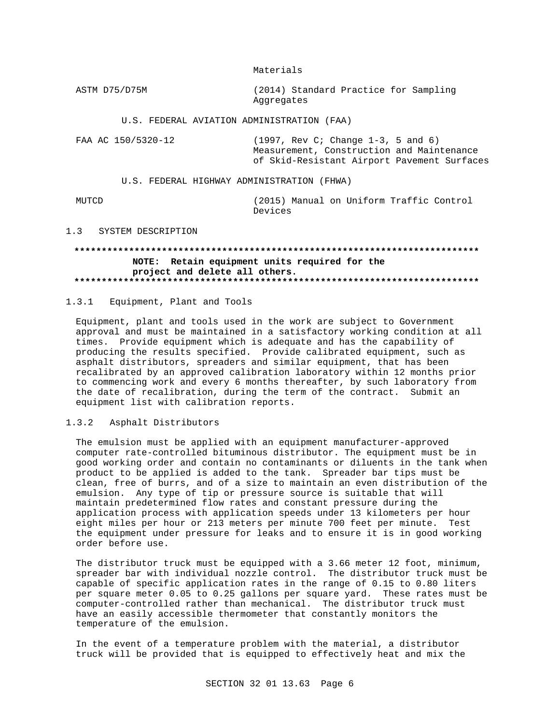Materials

ASTM D75/D75M (2014) Standard Practice for Sampling Aggregates

U.S. FEDERAL AVIATION ADMINISTRATION (FAA)

| FAA AC 150/5320-12 |  |  | $(1997, Rev C: Change 1-3, 5 and 6)$        |  |
|--------------------|--|--|---------------------------------------------|--|
|                    |  |  | Measurement, Construction and Maintenance   |  |
|                    |  |  | of Skid-Resistant Airport Pavement Surfaces |  |
|                    |  |  |                                             |  |

U.S. FEDERAL HIGHWAY ADMINISTRATION (FHWA)

MUTCD

(2015) Manual on Uniform Traffic Control Devices

#### $1.3$ SYSTEM DESCRIPTION

## NOTE: Retain equipment units required for the project and delete all others.

### Equipment, Plant and Tools  $1.3.1$

Equipment, plant and tools used in the work are subject to Government approval and must be maintained in a satisfactory working condition at all times. Provide equipment which is adequate and has the capability of producing the results specified. Provide calibrated equipment, such as asphalt distributors, spreaders and similar equipment, that has been recalibrated by an approved calibration laboratory within 12 months prior to commencing work and every 6 months thereafter, by such laboratory from the date of recalibration, during the term of the contract. Submit an equipment list with calibration reports.

### $1.3.2$ Asphalt Distributors

The emulsion must be applied with an equipment manufacturer-approved computer rate-controlled bituminous distributor. The equipment must be in good working order and contain no contaminants or diluents in the tank when product to be applied is added to the tank. Spreader bar tips must be clean, free of burrs, and of a size to maintain an even distribution of the emulsion. Any type of tip or pressure source is suitable that will maintain predetermined flow rates and constant pressure during the application process with application speeds under 13 kilometers per hour eight miles per hour or 213 meters per minute 700 feet per minute. Test the equipment under pressure for leaks and to ensure it is in good working order before use.

The distributor truck must be equipped with a 3.66 meter 12 foot, minimum, spreader bar with individual nozzle control. The distributor truck must be capable of specific application rates in the range of 0.15 to 0.80 liters per square meter 0.05 to 0.25 gallons per square yard. These rates must be computer-controlled rather than mechanical. The distributor truck must have an easily accessible thermometer that constantly monitors the temperature of the emulsion.

In the event of a temperature problem with the material, a distributor truck will be provided that is equipped to effectively heat and mix the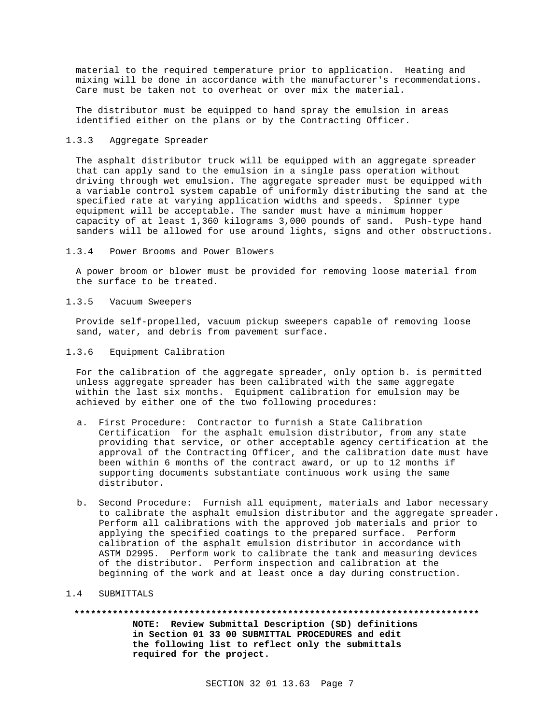material to the required temperature prior to application. Heating and mixing will be done in accordance with the manufacturer's recommendations. Care must be taken not to overheat or over mix the material.

The distributor must be equipped to hand spray the emulsion in areas identified either on the plans or by the Contracting Officer.

## 1.3.3 Aggregate Spreader

The asphalt distributor truck will be equipped with an aggregate spreader that can apply sand to the emulsion in a single pass operation without driving through wet emulsion. The aggregate spreader must be equipped with a variable control system capable of uniformly distributing the sand at the specified rate at varying application widths and speeds. Spinner type equipment will be acceptable. The sander must have a minimum hopper capacity of at least 1,360 kilograms 3,000 pounds of sand. Push-type hand sanders will be allowed for use around lights, signs and other obstructions.

## 1.3.4 Power Brooms and Power Blowers

A power broom or blower must be provided for removing loose material from the surface to be treated.

1.3.5 Vacuum Sweepers

Provide self-propelled, vacuum pickup sweepers capable of removing loose sand, water, and debris from pavement surface.

1.3.6 Equipment Calibration

For the calibration of the aggregate spreader, only option b. is permitted unless aggregate spreader has been calibrated with the same aggregate within the last six months. Equipment calibration for emulsion may be achieved by either one of the two following procedures:

- a. First Procedure: Contractor to furnish a State Calibration Certification for the asphalt emulsion distributor, from any state providing that service, or other acceptable agency certification at the approval of the Contracting Officer, and the calibration date must have been within 6 months of the contract award, or up to 12 months if supporting documents substantiate continuous work using the same distributor.
- b. Second Procedure: Furnish all equipment, materials and labor necessary to calibrate the asphalt emulsion distributor and the aggregate spreader. Perform all calibrations with the approved job materials and prior to applying the specified coatings to the prepared surface. Perform calibration of the asphalt emulsion distributor in accordance with ASTM D2995. Perform work to calibrate the tank and measuring devices of the distributor. Perform inspection and calibration at the beginning of the work and at least once a day during construction.
- 1.4 SUBMITTALS

**\*\*\*\*\*\*\*\*\*\*\*\*\*\*\*\*\*\*\*\*\*\*\*\*\*\*\*\*\*\*\*\*\*\*\*\*\*\*\*\*\*\*\*\*\*\*\*\*\*\*\*\*\*\*\*\*\*\*\*\*\*\*\*\*\*\*\*\*\*\*\*\*\*\* NOTE: Review Submittal Description (SD) definitions in Section 01 33 00 SUBMITTAL PROCEDURES and edit the following list to reflect only the submittals required for the project.**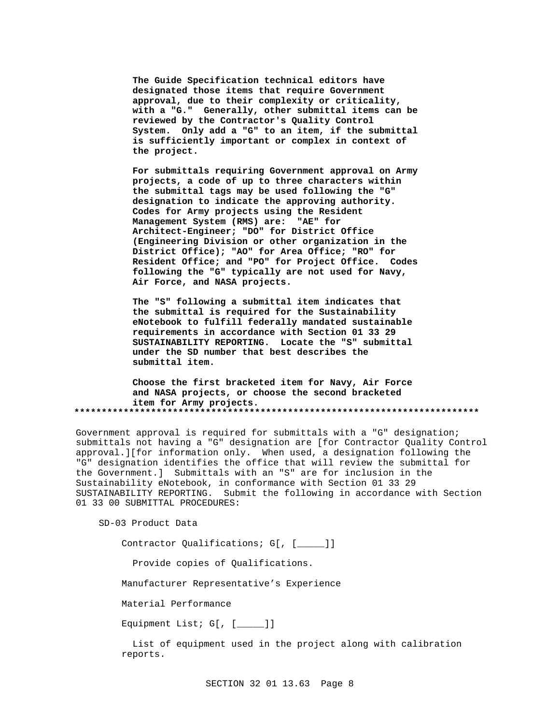**The Guide Specification technical editors have designated those items that require Government approval, due to their complexity or criticality, with a "G." Generally, other submittal items can be reviewed by the Contractor's Quality Control System. Only add a "G" to an item, if the submittal is sufficiently important or complex in context of the project.**

**For submittals requiring Government approval on Army projects, a code of up to three characters within the submittal tags may be used following the "G" designation to indicate the approving authority. Codes for Army projects using the Resident Management System (RMS) are: "AE" for Architect-Engineer; "DO" for District Office (Engineering Division or other organization in the District Office); "AO" for Area Office; "RO" for Resident Office; and "PO" for Project Office. Codes following the "G" typically are not used for Navy, Air Force, and NASA projects.**

**The "S" following a submittal item indicates that the submittal is required for the Sustainability eNotebook to fulfill federally mandated sustainable requirements in accordance with Section 01 33 29 SUSTAINABILITY REPORTING. Locate the "S" submittal under the SD number that best describes the submittal item.**

**Choose the first bracketed item for Navy, Air Force and NASA projects, or choose the second bracketed item for Army projects. \*\*\*\*\*\*\*\*\*\*\*\*\*\*\*\*\*\*\*\*\*\*\*\*\*\*\*\*\*\*\*\*\*\*\*\*\*\*\*\*\*\*\*\*\*\*\*\*\*\*\*\*\*\*\*\*\*\*\*\*\*\*\*\*\*\*\*\*\*\*\*\*\*\***

Government approval is required for submittals with a "G" designation; submittals not having a "G" designation are [for Contractor Quality Control approval.][for information only. When used, a designation following the "G" designation identifies the office that will review the submittal for the Government.] Submittals with an "S" are for inclusion in the Sustainability eNotebook, in conformance with Section 01 33 29 SUSTAINABILITY REPORTING. Submit the following in accordance with Section 01 33 00 SUBMITTAL PROCEDURES:

SD-03 Product Data

Contractor Qualifications; G[, [\_\_\_\_\_]]

Provide copies of Qualifications.

Manufacturer Representative's Experience

Material Performance

Equipment List; G[, [\_\_\_\_\_]]

List of equipment used in the project along with calibration reports.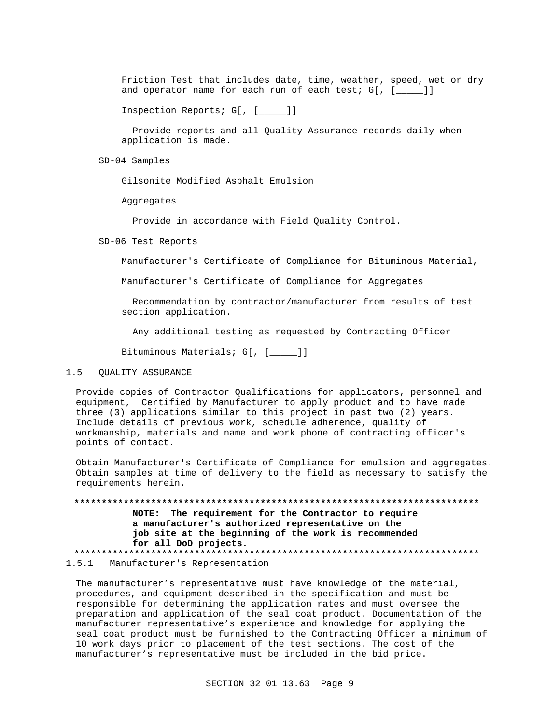Friction Test that includes date, time, weather, speed, wet or dry and operator name for each run of each test; G[, [\_\_\_\_]]

Inspection Reports; G[, [\_\_\_\_]]

Provide reports and all Ouality Assurance records daily when application is made.

SD-04 Samples

Gilsonite Modified Asphalt Emulsion

Aggregates

Provide in accordance with Field Quality Control.

SD-06 Test Reports

Manufacturer's Certificate of Compliance for Bituminous Material,

Manufacturer's Certificate of Compliance for Aggregates

Recommendation by contractor/manufacturer from results of test section application.

Any additional testing as requested by Contracting Officer

Bituminous Materials; G[, [\_\_\_\_]]

### $1.5$ **OUALITY ASSURANCE**

Provide copies of Contractor Qualifications for applicators, personnel and equipment, Certified by Manufacturer to apply product and to have made three (3) applications similar to this project in past two (2) years. Include details of previous work, schedule adherence, quality of workmanship, materials and name and work phone of contracting officer's points of contact.

Obtain Manufacturer's Certificate of Compliance for emulsion and aggregates. Obtain samples at time of delivery to the field as necessary to satisfy the requirements herein.

NOTE: The requirement for the Contractor to require a manufacturer's authorized representative on the job site at the beginning of the work is recommended for all DoD projects. 

1.5.1 Manufacturer's Representation

The manufacturer's representative must have knowledge of the material, procedures, and equipment described in the specification and must be responsible for determining the application rates and must oversee the preparation and application of the seal coat product. Documentation of the manufacturer representative's experience and knowledge for applying the seal coat product must be furnished to the Contracting Officer a minimum of 10 work days prior to placement of the test sections. The cost of the manufacturer's representative must be included in the bid price.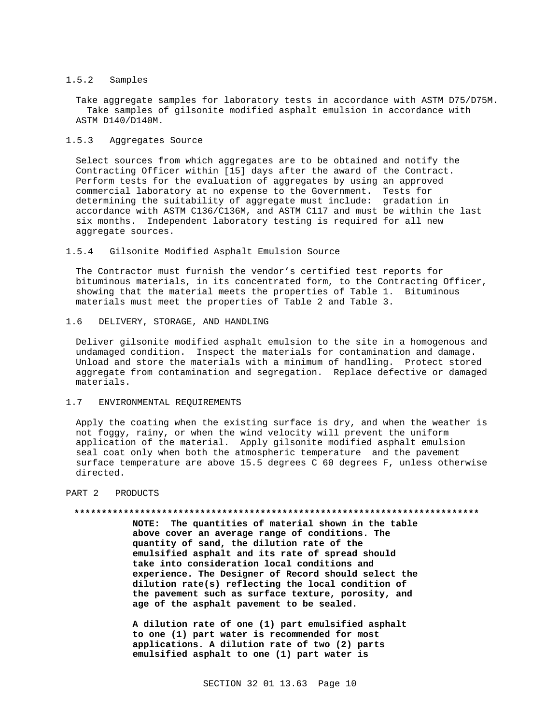#### $1.5.2$ Samples

Take aggregate samples for laboratory tests in accordance with ASTM D75/D75M. Take samples of gilsonite modified asphalt emulsion in accordance with ASTM D140/D140M.

### $1.5.3$ Aggregates Source

Select sources from which aggregates are to be obtained and notify the Contracting Officer within [15] days after the award of the Contract. Perform tests for the evaluation of aggregates by using an approved commercial laboratory at no expense to the Government. Tests for determining the suitability of aggregate must include: gradation in accordance with ASTM C136/C136M, and ASTM C117 and must be within the last six months. Independent laboratory testing is required for all new aggregate sources.

### $1.5.4$ Gilsonite Modified Asphalt Emulsion Source

The Contractor must furnish the vendor's certified test reports for bituminous materials, in its concentrated form, to the Contracting Officer, showing that the material meets the properties of Table 1. Bituminous materials must meet the properties of Table 2 and Table 3.

### $1.6$ DELIVERY, STORAGE, AND HANDLING

Deliver gilsonite modified asphalt emulsion to the site in a homogenous and undamaged condition. Inspect the materials for contamination and damage. Unload and store the materials with a minimum of handling. Protect stored aggregate from contamination and segregation. Replace defective or damaged materials.

#### $1.7$ ENVIRONMENTAL REQUIREMENTS

Apply the coating when the existing surface is dry, and when the weather is not foggy, rainy, or when the wind velocity will prevent the uniform application of the material. Apply gilsonite modified asphalt emulsion seal coat only when both the atmospheric temperature and the pavement surface temperature are above 15.5 degrees C 60 degrees F, unless otherwise directed.

#### PART<sub>2</sub> PRODUCTS

### 

NOTE: The quantities of material shown in the table above cover an average range of conditions. The quantity of sand, the dilution rate of the emulsified asphalt and its rate of spread should take into consideration local conditions and experience. The Designer of Record should select the dilution rate(s) reflecting the local condition of the pavement such as surface texture, porosity, and age of the asphalt pavement to be sealed.

A dilution rate of one (1) part emulsified asphalt to one (1) part water is recommended for most applications. A dilution rate of two (2) parts emulsified asphalt to one (1) part water is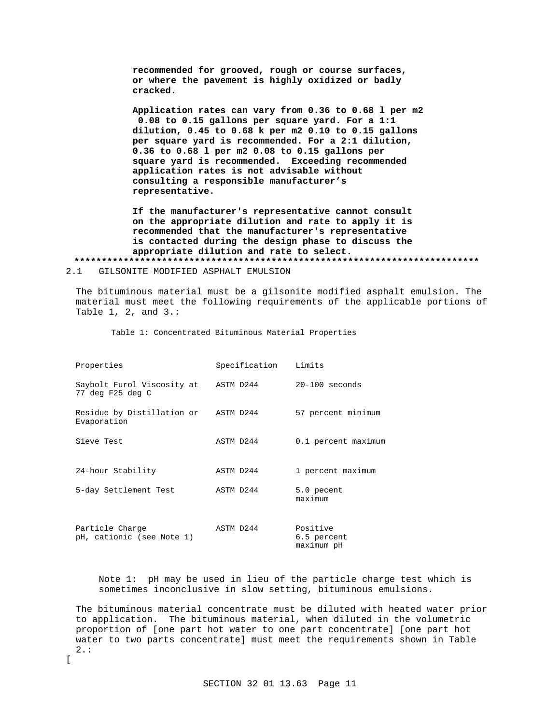**recommended for grooved, rough or course surfaces, or where the pavement is highly oxidized or badly cracked.**

**Application rates can vary from 0.36 to 0.68 l per m2 0.08 to 0.15 gallons per square yard. For a 1:1 dilution, 0.45 to 0.68 k per m2 0.10 to 0.15 gallons per square yard is recommended. For a 2:1 dilution, 0.36 to 0.68 l per m2 0.08 to 0.15 gallons per square yard is recommended. Exceeding recommended application rates is not advisable without consulting a responsible manufacturer's representative.**

**If the manufacturer's representative cannot consult on the appropriate dilution and rate to apply it is recommended that the manufacturer's representative is contacted during the design phase to discuss the appropriate dilution and rate to select. \*\*\*\*\*\*\*\*\*\*\*\*\*\*\*\*\*\*\*\*\*\*\*\*\*\*\*\*\*\*\*\*\*\*\*\*\*\*\*\*\*\*\*\*\*\*\*\*\*\*\*\*\*\*\*\*\*\*\*\*\*\*\*\*\*\*\*\*\*\*\*\*\*\***

## 2.1 GILSONITE MODIFIED ASPHALT EMULSION

 $\sqrt{2}$ 

The bituminous material must be a gilsonite modified asphalt emulsion. The material must meet the following requirements of the applicable portions of Table 1, 2, and 3.:

Table 1: Concentrated Bituminous Material Properties

| Properties                                          | Specification | Limits                                |
|-----------------------------------------------------|---------------|---------------------------------------|
| Saybolt Furol Viscosity at<br>77 deg F25 deg C      | ASTM D244     | $20-100$ seconds                      |
| Residue by Distillation or ASTM D244<br>Evaporation |               | 57 percent minimum                    |
| Sieve Test                                          | ASTM D244     | 0.1 percent maximum                   |
| 24-hour Stability                                   | ASTM D244     | 1 percent maximum                     |
| 5-day Settlement Test                               | ASTM D244     | 5.0 pecent<br>maximum                 |
| Particle Charge<br>pH, cationic (see Note 1)        | ASTM D244     | Positive<br>6.5 percent<br>maximum pH |

Note 1: pH may be used in lieu of the particle charge test which is sometimes inconclusive in slow setting, bituminous emulsions.

The bituminous material concentrate must be diluted with heated water prior to application. The bituminous material, when diluted in the volumetric proportion of [one part hot water to one part concentrate] [one part hot water to two parts concentrate] must meet the requirements shown in Table 2.: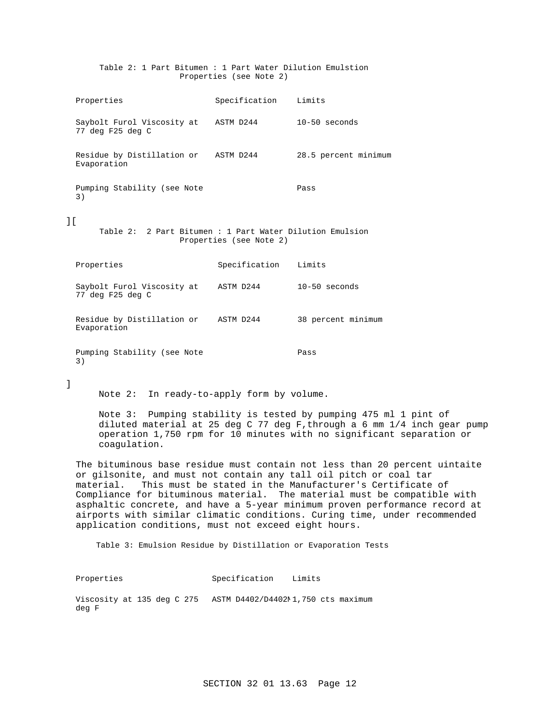Table 2: 1 Part Bitumen : 1 Part Water Dilution Emulstion Properties (see Note 2) Properties Specification Limits Saybolt Furol Viscosity at 77 deg F25 deg C ASTM D244 10-50 seconds Residue by Distillation or Evaporation ASTM D244 28.5 percent minimum Pumping Stability (see Note 3) Pass ][ Table 2: 2 Part Bitumen : 1 Part Water Dilution Emulsion Properties (see Note 2) Properties Specification Limits Saybolt Furol Viscosity at 77 deg F25 deg C ASTM D244 10-50 seconds Residue by Distillation or Evaporation ASTM D244 38 percent minimum Pumping Stability (see Note 3) Pass

Note 2: In ready-to-apply form by volume.

]

Note 3: Pumping stability is tested by pumping 475 ml 1 pint of diluted material at 25 deg C 77 deg F,through a 6 mm 1/4 inch gear pump operation 1,750 rpm for 10 minutes with no significant separation or coagulation.

The bituminous base residue must contain not less than 20 percent uintaite or gilsonite, and must not contain any tall oil pitch or coal tar material. This must be stated in the Manufacturer's Certificate of Compliance for bituminous material. The material must be compatible with asphaltic concrete, and have a 5-year minimum proven performance record at airports with similar climatic conditions. Curing time, under recommended application conditions, must not exceed eight hours.

Table 3: Emulsion Residue by Distillation or Evaporation Tests

Properties Specification Limits

Viscosity at 135 deg C 275 ASTM D4402/D4402Ml,750 cts maximum deg F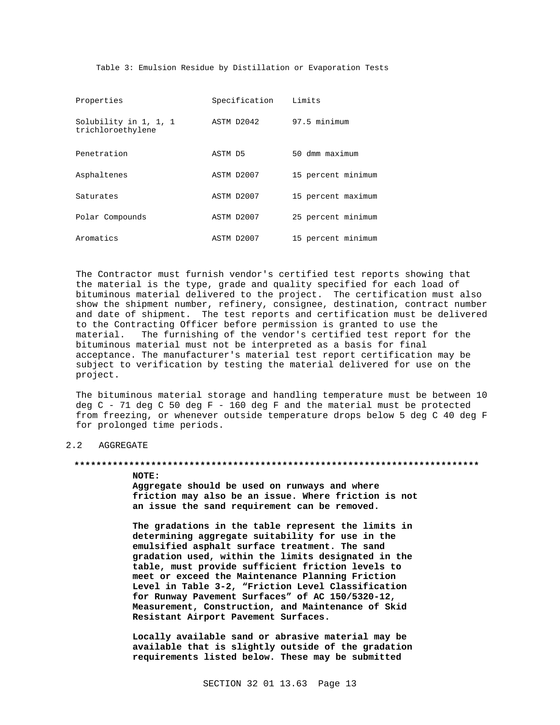Table 3: Emulsion Residue by Distillation or Evaporation Tests

| Properties                                 | Specification | Limits             |
|--------------------------------------------|---------------|--------------------|
| Solubility in 1, 1, 1<br>trichloroethylene | ASTM D2042    | 97.5 minimum       |
| Penetration                                | ASTM D5       | 50 dmm maximum     |
| Asphaltenes                                | ASTM D2007    | 15 percent minimum |
| Saturates                                  | ASTM D2007    | 15 percent maximum |
| Polar Compounds                            | ASTM D2007    | 25 percent minimum |
| Aromatics                                  | ASTM D2007    | 15 percent minimum |

The Contractor must furnish vendor's certified test reports showing that the material is the type, grade and quality specified for each load of bituminous material delivered to the project. The certification must also show the shipment number, refinery, consignee, destination, contract number and date of shipment. The test reports and certification must be delivered to the Contracting Officer before permission is granted to use the material. The furnishing of the vendor's certified test report for the bituminous material must not be interpreted as a basis for final acceptance. The manufacturer's material test report certification may be subject to verification by testing the material delivered for use on the project.

The bituminous material storage and handling temperature must be between 10 deg C - 71 deg C 50 deg F - 160 deg F and the material must be protected from freezing, or whenever outside temperature drops below 5 deg C 40 deg F for prolonged time periods.

## 2.2 AGGREGATE

### **\*\*\*\*\*\*\*\*\*\*\*\*\*\*\*\*\*\*\*\*\*\*\*\*\*\*\*\*\*\*\*\*\*\*\*\*\*\*\*\*\*\*\*\*\*\*\*\*\*\*\*\*\*\*\*\*\*\*\*\*\*\*\*\*\*\*\*\*\*\*\*\*\*\***

**NOTE:**

**Aggregate should be used on runways and where friction may also be an issue. Where friction is not an issue the sand requirement can be removed.**

**The gradations in the table represent the limits in determining aggregate suitability for use in the emulsified asphalt surface treatment. The sand gradation used, within the limits designated in the table, must provide sufficient friction levels to meet or exceed the Maintenance Planning Friction Level in Table 3-2, "Friction Level Classification for Runway Pavement Surfaces" of AC 150/5320-12, Measurement, Construction, and Maintenance of Skid Resistant Airport Pavement Surfaces.**

**Locally available sand or abrasive material may be available that is slightly outside of the gradation requirements listed below. These may be submitted**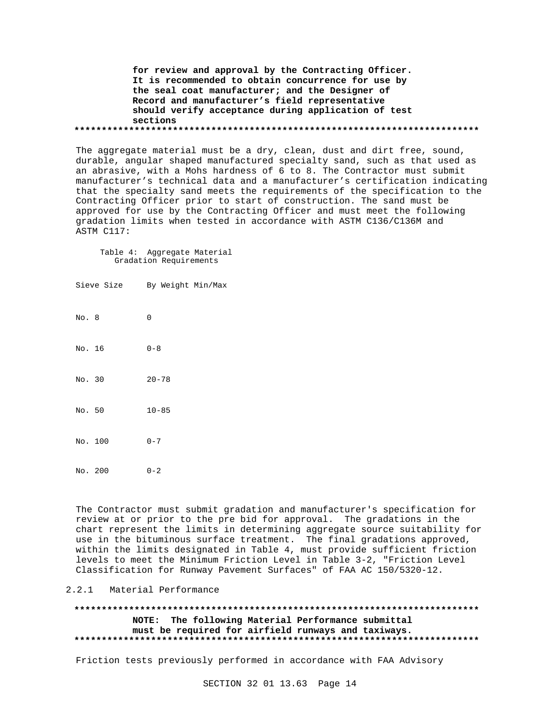for review and approval by the Contracting Officer. It is recommended to obtain concurrence for use by the seal coat manufacturer; and the Designer of Record and manufacturer's field representative should verify acceptance during application of test sections 

The aggregate material must be a dry, clean, dust and dirt free, sound, durable, angular shaped manufactured specialty sand, such as that used as an abrasive, with a Mohs hardness of 6 to 8. The Contractor must submit manufacturer's technical data and a manufacturer's certification indicating that the specialty sand meets the requirements of the specification to the Contracting Officer prior to start of construction. The sand must be approved for use by the Contracting Officer and must meet the following gradation limits when tested in accordance with ASTM C136/C136M and ASTM C117:

Table 4: Aggregate Material Gradation Requirements

Sieve Size By Weight Min/Max

No. 8  $\bigcap$ 

No. 16  $0 - 8$ 

No. 30  $20 - 78$ 

 $No. 50$  $10 - 85$ 

No. 100  $0 - 7$ 

No. 200  $0 - 2$ 

The Contractor must submit gradation and manufacturer's specification for review at or prior to the pre bid for approval. The gradations in the chart represent the limits in determining aggregate source suitability for use in the bituminous surface treatment. The final gradations approved, within the limits designated in Table 4, must provide sufficient friction levels to meet the Minimum Friction Level in Table 3-2, "Friction Level Classification for Runway Pavement Surfaces" of FAA AC 150/5320-12.

### Material Performance  $2.2.1$

NOTE: The following Material Performance submittal must be required for airfield runways and taxiways. 

Friction tests previously performed in accordance with FAA Advisory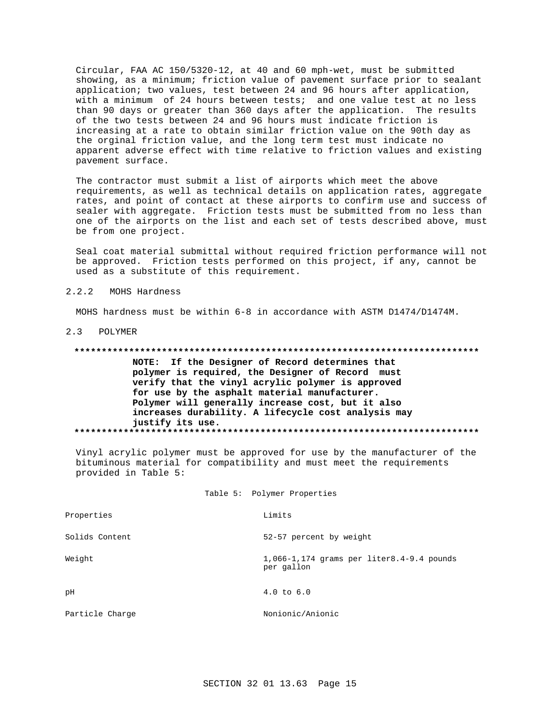Circular, FAA AC 150/5320-12, at 40 and 60 mph-wet, must be submitted showing, as a minimum; friction value of pavement surface prior to sealant application; two values, test between 24 and 96 hours after application, with a minimum of 24 hours between tests; and one value test at no less than 90 days or greater than 360 days after the application. The results of the two tests between 24 and 96 hours must indicate friction is increasing at a rate to obtain similar friction value on the 90th day as the orginal friction value, and the long term test must indicate no apparent adverse effect with time relative to friction values and existing pavement surface.

The contractor must submit a list of airports which meet the above requirements, as well as technical details on application rates, aggregate rates, and point of contact at these airports to confirm use and success of sealer with aggregate. Friction tests must be submitted from no less than one of the airports on the list and each set of tests described above, must be from one project.

Seal coat material submittal without required friction performance will not be approved. Friction tests performed on this project, if any, cannot be used as a substitute of this requirement.

#### $2.2.2$ MOHS Hardness

MOHS hardness must be within 6-8 in accordance with ASTM D1474/D1474M.

2.3 POLYMER

### 

NOTE: If the Designer of Record determines that polymer is required, the Designer of Record must verify that the vinyl acrylic polymer is approved for use by the asphalt material manufacturer. Polymer will generally increase cost, but it also increases durability. A lifecycle cost analysis may justify its use. 

Vinyl acrylic polymer must be approved for use by the manufacturer of the bituminous material for compatibility and must meet the requirements provided in Table 5:

Table 5: Polymer Properties

| Properties      | Limits                                                       |
|-----------------|--------------------------------------------------------------|
| Solids Content  | 52-57 percent by weight                                      |
| Weight          | $1,066-1,174$ grams per liter $8.4-9.4$ pounds<br>per gallon |
| рH              | $4.0 \text{ to } 6.0$                                        |
| Particle Charge | Nonionic/Anionic                                             |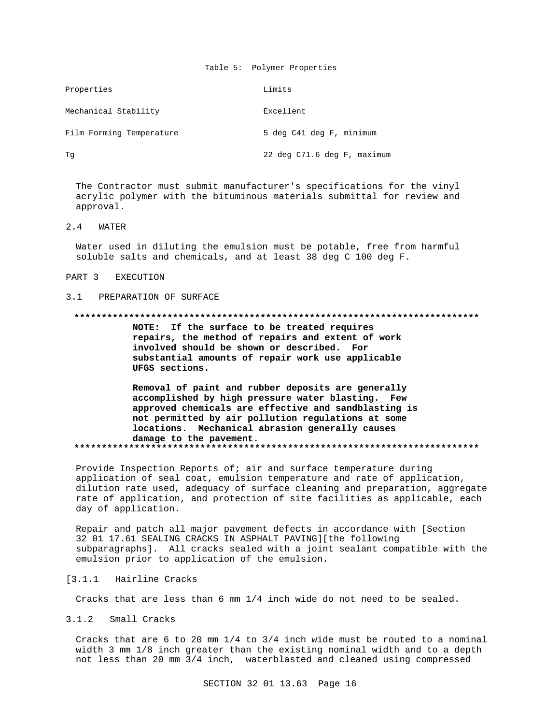### Table 5: Polymer Properties

| Properties               | Limits                      |
|--------------------------|-----------------------------|
| Mechanical Stability     | Excellent                   |
| Film Forming Temperature | 5 deg C41 deg F, minimum    |
| Tq                       | 22 deg C71.6 deg F, maximum |

The Contractor must submit manufacturer's specifications for the vinyl acrylic polymer with the bituminous materials submittal for review and approval.

#### $2.4$ **WATER**

Water used in diluting the emulsion must be potable, free from harmful soluble salts and chemicals, and at least 38 deg C 100 deg F.

### PART 3 **EXECUTION**

### PREPARATION OF SURFACE  $3.1$

### 

NOTE: If the surface to be treated requires repairs, the method of repairs and extent of work involved should be shown or described. For substantial amounts of repair work use applicable UFGS sections.

Removal of paint and rubber deposits are generally accomplished by high pressure water blasting. Few approved chemicals are effective and sandblasting is not permitted by air pollution regulations at some locations. Mechanical abrasion generally causes damage to the pavement. 

Provide Inspection Reports of; air and surface temperature during application of seal coat, emulsion temperature and rate of application, dilution rate used, adequacy of surface cleaning and preparation, aggregate rate of application, and protection of site facilities as applicable, each day of application.

Repair and patch all major pavement defects in accordance with [Section 32 01 17.61 SEALING CRACKS IN ASPHALT PAVING][the following subparagraphs]. All cracks sealed with a joint sealant compatible with the emulsion prior to application of the emulsion.

### $[3.1.1]$ Hairline Cracks

Cracks that are less than 6 mm  $1/4$  inch wide do not need to be sealed.

### $3.1.2$ Small Cracks

Cracks that are 6 to 20 mm 1/4 to 3/4 inch wide must be routed to a nominal width 3 mm 1/8 inch greater than the existing nominal width and to a depth not less than 20 mm 3/4 inch, waterblasted and cleaned using compressed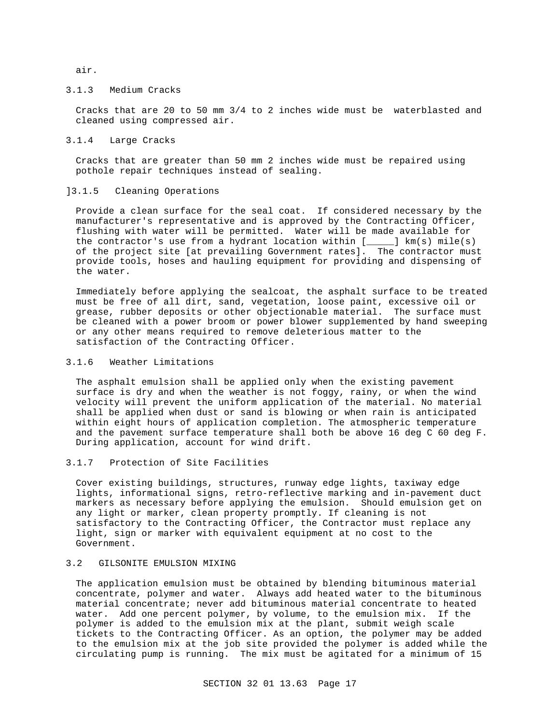air.

## 3.1.3 Medium Cracks

Cracks that are 20 to 50 mm 3/4 to 2 inches wide must be waterblasted and cleaned using compressed air.

## 3.1.4 Large Cracks

Cracks that are greater than 50 mm 2 inches wide must be repaired using pothole repair techniques instead of sealing.

## ]3.1.5 Cleaning Operations

Provide a clean surface for the seal coat. If considered necessary by the manufacturer's representative and is approved by the Contracting Officer, flushing with water will be permitted. Water will be made available for the contractor's use from a hydrant location within  $[\_\_]$  km(s) mile(s) of the project site [at prevailing Government rates]. The contractor must provide tools, hoses and hauling equipment for providing and dispensing of the water.

Immediately before applying the sealcoat, the asphalt surface to be treated must be free of all dirt, sand, vegetation, loose paint, excessive oil or grease, rubber deposits or other objectionable material. The surface must be cleaned with a power broom or power blower supplemented by hand sweeping or any other means required to remove deleterious matter to the satisfaction of the Contracting Officer.

## 3.1.6 Weather Limitations

The asphalt emulsion shall be applied only when the existing pavement surface is dry and when the weather is not foggy, rainy, or when the wind velocity will prevent the uniform application of the material. No material shall be applied when dust or sand is blowing or when rain is anticipated within eight hours of application completion. The atmospheric temperature and the pavement surface temperature shall both be above 16 deg C 60 deg F. During application, account for wind drift.

# 3.1.7 Protection of Site Facilities

Cover existing buildings, structures, runway edge lights, taxiway edge lights, informational signs, retro-reflective marking and in-pavement duct markers as necessary before applying the emulsion. Should emulsion get on any light or marker, clean property promptly. If cleaning is not satisfactory to the Contracting Officer, the Contractor must replace any light, sign or marker with equivalent equipment at no cost to the Government.

## 3.2 GILSONITE EMULSION MIXING

The application emulsion must be obtained by blending bituminous material concentrate, polymer and water. Always add heated water to the bituminous material concentrate; never add bituminous material concentrate to heated water. Add one percent polymer, by volume, to the emulsion mix. If the polymer is added to the emulsion mix at the plant, submit weigh scale tickets to the Contracting Officer. As an option, the polymer may be added to the emulsion mix at the job site provided the polymer is added while the circulating pump is running. The mix must be agitated for a minimum of 15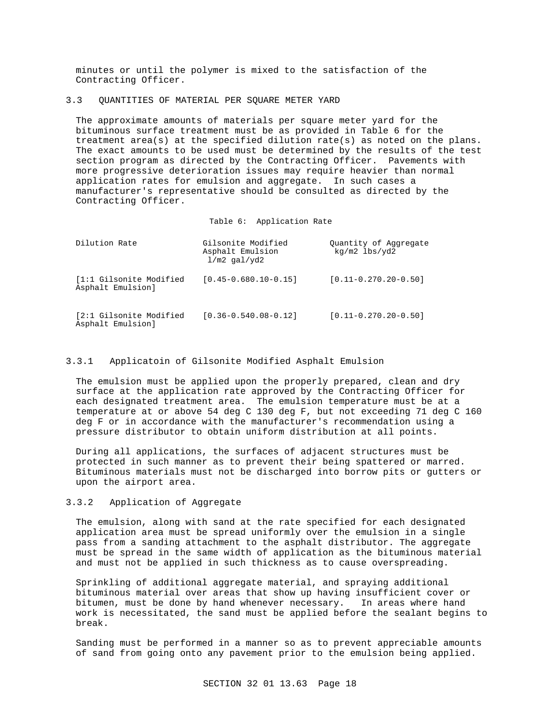minutes or until the polymer is mixed to the satisfaction of the Contracting Officer.

## 3.3 QUANTITIES OF MATERIAL PER SQUARE METER YARD

The approximate amounts of materials per square meter yard for the bituminous surface treatment must be as provided in Table 6 for the treatment area(s) at the specified dilution rate(s) as noted on the plans. The exact amounts to be used must be determined by the results of the test section program as directed by the Contracting Officer. Pavements with more progressive deterioration issues may require heavier than normal application rates for emulsion and aggregate. In such cases a manufacturer's representative should be consulted as directed by the Contracting Officer.

Table 6: Application Rate

| Dilution Rate                                | Gilsonite Modified<br>Asphalt Emulsion<br>$1/m2$ qal/yd2 | Ouantity of Aggregate<br>kg/m2 lbs/yd2 |
|----------------------------------------------|----------------------------------------------------------|----------------------------------------|
| [1:1 Gilsonite Modified<br>Asphalt Emulsion] | $[0.45 - 0.680.10 - 0.15]$                               | $[0.11 - 0.270.20 - 0.50]$             |
| [2:1 Gilsonite Modified<br>Asphalt Emulsion] | $[0.36 - 0.540.08 - 0.12]$                               | $[0.11 - 0.270.20 - 0.50]$             |

## 3.3.1 Applicatoin of Gilsonite Modified Asphalt Emulsion

The emulsion must be applied upon the properly prepared, clean and dry surface at the application rate approved by the Contracting Officer for each designated treatment area. The emulsion temperature must be at a temperature at or above 54 deg C 130 deg F, but not exceeding 71 deg C 160 deg F or in accordance with the manufacturer's recommendation using a pressure distributor to obtain uniform distribution at all points.

During all applications, the surfaces of adjacent structures must be protected in such manner as to prevent their being spattered or marred. Bituminous materials must not be discharged into borrow pits or gutters or upon the airport area.

## 3.3.2 Application of Aggregate

The emulsion, along with sand at the rate specified for each designated application area must be spread uniformly over the emulsion in a single pass from a sanding attachment to the asphalt distributor. The aggregate must be spread in the same width of application as the bituminous material and must not be applied in such thickness as to cause overspreading.

Sprinkling of additional aggregate material, and spraying additional bituminous material over areas that show up having insufficient cover or bitumen, must be done by hand whenever necessary. In areas where hand work is necessitated, the sand must be applied before the sealant begins to break.

Sanding must be performed in a manner so as to prevent appreciable amounts of sand from going onto any pavement prior to the emulsion being applied.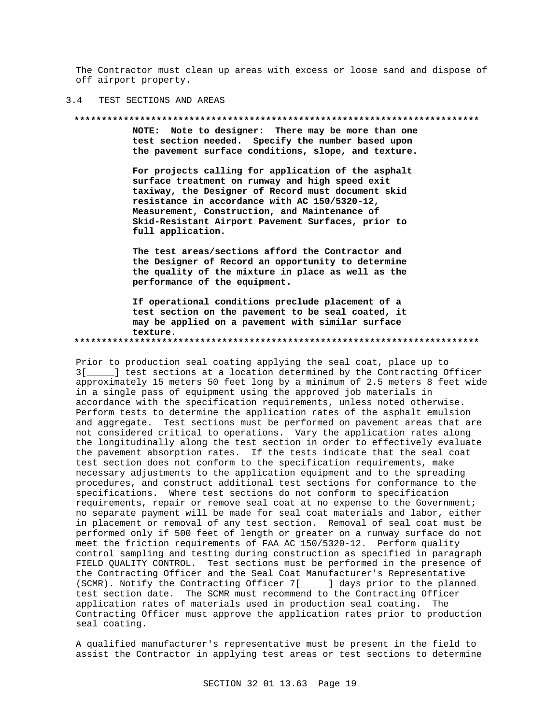The Contractor must clean up areas with excess or loose sand and dispose of off airport property.

#### $3.4$ TEST SECTIONS AND AREAS

### 

NOTE: Note to designer: There may be more than one test section needed. Specify the number based upon the pavement surface conditions, slope, and texture.

For projects calling for application of the asphalt surface treatment on runway and high speed exit taxiway, the Designer of Record must document skid resistance in accordance with AC 150/5320-12, Measurement, Construction, and Maintenance of Skid-Resistant Airport Pavement Surfaces, prior to full application.

The test areas/sections afford the Contractor and the Designer of Record an opportunity to determine the quality of the mixture in place as well as the performance of the equipment.

If operational conditions preclude placement of a test section on the pavement to be seal coated, it may be applied on a pavement with similar surface texture. 

Prior to production seal coating applying the seal coat, place up to 3[\_\_\_\_] test sections at a location determined by the Contracting Officer approximately 15 meters 50 feet long by a minimum of 2.5 meters 8 feet wide in a single pass of equipment using the approved job materials in accordance with the specification requirements, unless noted otherwise. Perform tests to determine the application rates of the asphalt emulsion and aggregate. Test sections must be performed on pavement areas that are not considered critical to operations. Vary the application rates along the longitudinally along the test section in order to effectively evaluate the pavement absorption rates. If the tests indicate that the seal coat test section does not conform to the specification requirements, make necessary adjustments to the application equipment and to the spreading procedures, and construct additional test sections for conformance to the specifications. Where test sections do not conform to specification requirements, repair or remove seal coat at no expense to the Government; no separate payment will be made for seal coat materials and labor, either in placement or removal of any test section. Removal of seal coat must be performed only if 500 feet of length or greater on a runway surface do not meet the friction requirements of FAA AC 150/5320-12. Perform quality control sampling and testing during construction as specified in paragraph FIELD QUALITY CONTROL. Test sections must be performed in the presence of the Contracting Officer and the Seal Coat Manufacturer's Representative (SCMR). Notify the Contracting Officer 7[\_\_\_\_] days prior to the planned test section date. The SCMR must recommend to the Contracting Officer application rates of materials used in production seal coating. The Contracting Officer must approve the application rates prior to production seal coating.

A qualified manufacturer's representative must be present in the field to assist the Contractor in applying test areas or test sections to determine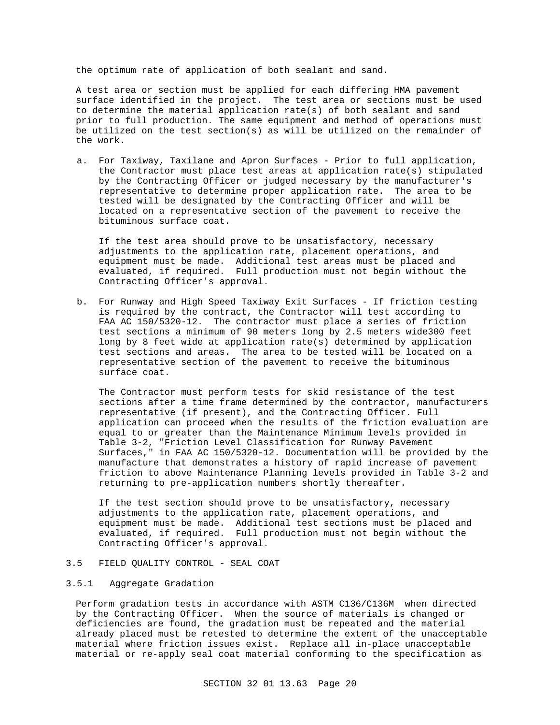the optimum rate of application of both sealant and sand.

A test area or section must be applied for each differing HMA pavement surface identified in the project. The test area or sections must be used to determine the material application rate(s) of both sealant and sand prior to full production. The same equipment and method of operations must be utilized on the test section(s) as will be utilized on the remainder of the work.

a. For Taxiway, Taxilane and Apron Surfaces - Prior to full application, the Contractor must place test areas at application rate(s) stipulated by the Contracting Officer or judged necessary by the manufacturer's representative to determine proper application rate. The area to be tested will be designated by the Contracting Officer and will be located on a representative section of the pavement to receive the bituminous surface coat.

If the test area should prove to be unsatisfactory, necessary adjustments to the application rate, placement operations, and equipment must be made. Additional test areas must be placed and evaluated, if required. Full production must not begin without the Contracting Officer's approval.

b. For Runway and High Speed Taxiway Exit Surfaces - If friction testing is required by the contract, the Contractor will test according to FAA AC 150/5320-12. The contractor must place a series of friction test sections a minimum of 90 meters long by 2.5 meters wide300 feet long by 8 feet wide at application rate(s) determined by application test sections and areas. The area to be tested will be located on a representative section of the pavement to receive the bituminous surface coat.

The Contractor must perform tests for skid resistance of the test sections after a time frame determined by the contractor, manufacturers representative (if present), and the Contracting Officer. Full application can proceed when the results of the friction evaluation are equal to or greater than the Maintenance Minimum levels provided in Table 3-2, "Friction Level Classification for Runway Pavement Surfaces," in FAA AC 150/5320-12. Documentation will be provided by the manufacture that demonstrates a history of rapid increase of pavement friction to above Maintenance Planning levels provided in Table 3-2 and returning to pre-application numbers shortly thereafter.

If the test section should prove to be unsatisfactory, necessary adjustments to the application rate, placement operations, and equipment must be made. Additional test sections must be placed and evaluated, if required. Full production must not begin without the Contracting Officer's approval.

## 3.5 FIELD QUALITY CONTROL - SEAL COAT

## 3.5.1 Aggregate Gradation

Perform gradation tests in accordance with ASTM C136/C136M when directed by the Contracting Officer. When the source of materials is changed or deficiencies are found, the gradation must be repeated and the material already placed must be retested to determine the extent of the unacceptable material where friction issues exist. Replace all in-place unacceptable material or re-apply seal coat material conforming to the specification as